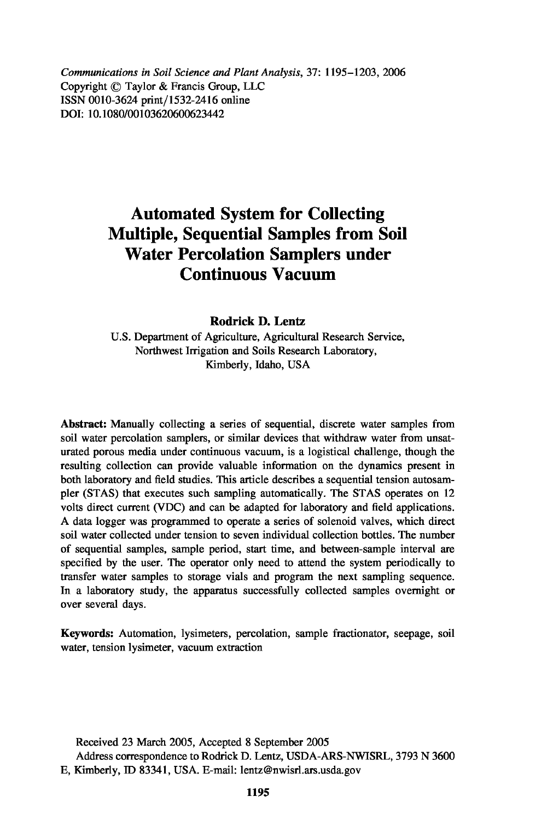*Communications in Soil Science and Plant Analysis,* 37: 1195-1203, 2006 Copyright © Taylor & Francis Group, LLC ISSN 0010-3624 print/1532-2416 online DOI: 10.1080/00103620600623442

# **Automated System for Collecting Multiple, Sequential Samples from Soil Water Percolation Samplers under Continuous Vacuum**

**Rodrick D. Lentz**

U.S. Department of Agriculture, Agricultural Research Service, Northwest Irrigation and Soils Research Laboratory, Kimberly, Idaho, USA

**Abstract:** Manually collecting a series of sequential, discrete water samples from soil water percolation samplers, or similar devices that withdraw water from unsaturated porous media under continuous vacuum, is a logistical challenge, though the resulting collection can provide valuable information on the dynamics present in both laboratory and field studies. This article describes a sequential tension autosampler (STAS) that executes such sampling automatically. The STAS operates on 12 volts direct current (VDC) and can be adapted for laboratory and field applications. A data logger was programmed to operate a series of solenoid valves, which direct soil water collected under tension to seven individual collection bottles. The number of sequential samples, sample period, start time, and between-sample interval are specified by the user. The operator only need to attend the system periodically to transfer water samples to storage vials and program the next sampling sequence. In a laboratory study, the apparatus successfully collected samples overnight or over several days.

**Keywords:** Automation, lysimeters, percolation, sample fractionator, seepage, soil water, tension lysimeter, vacuum extraction

Received 23 March 2005, Accepted 8 September 2005 Address correspondence to Rodrick D. Lentz, USDA-ARS-NWISRL, 3793 N 3600 E, Kimberly, ID 83341, USA. E-mail: lentz@nwisrl.ars.usda.gov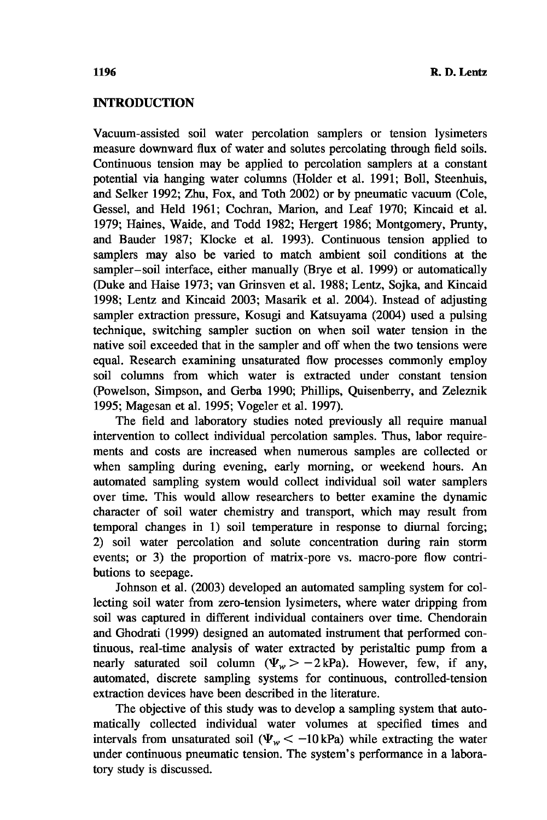## **INTRODUCTION**

Vacuum-assisted soil water percolation samplers or tension lysimeters measure downward flux of water and solutes percolating through field soils. Continuous tension may be applied to percolation samplers at a constant potential via hanging water columns (Holder et al. 1991; Boll, Steenhuis, and Selker 1992; Zhu, Fox, and Toth 2002) or by pneumatic vacuum (Cole, Gessel, and Held 1961; Cochran, Marion, and Leaf 1970; Kincaid et al. 1979; Haines, Waide, and Todd 1982; Hergert 1986; Montgomery, Prunty, and Bauder 1987; Klocke et al. 1993). Continuous tension applied to samplers may also be varied to match ambient soil conditions at the sampler—soil interface, either manually (Brye et al. 1999) or automatically (Duke and Haise 1973; van Grinsven et al. 1988; Lentz, Sojka, and Kincaid 1998; Lentz and Kincaid 2003; Masarik et al. 2004). Instead of adjusting sampler extraction pressure, Kosugi and Katsuyama (2004) used a pulsing technique, switching sampler suction on when soil water tension in the native soil exceeded that in the sampler and off when the two tensions were equal. Research examining unsaturated flow processes commonly employ soil columns from which water is extracted under constant tension (Powelson, Simpson, and Gerba 1990; Phillips, Quisenberry, and Zeleznik 1995; Magesan et al. 1995; Vogeler et al. 1997).

The field and laboratory studies noted previously all require manual intervention to collect individual percolation samples. Thus, labor requirements and costs are increased when numerous samples are collected or when sampling during evening, early morning, or weekend hours. An automated sampling system would collect individual soil water samplers over time. This would allow researchers to better examine the dynamic character of soil water chemistry and transport, which may result from temporal changes in 1) soil temperature in response to diurnal forcing; 2) soil water percolation and solute concentration during rain storm events; or 3) the proportion of matrix-pore vs. macro-pore flow contributions to seepage.

Johnson et al. (2003) developed an automated sampling system for collecting soil water from zero-tension lysimeters, where water dripping from soil was captured in different individual containers over time. Chendorain and Ghodrati (1999) designed an automated instrument that performed continuous, real-time analysis of water extracted by peristaltic pump from a nearly saturated soil column  $(\Psi_w > -2 kPa)$ . However, few, if any, automated, discrete sampling systems for continuous, controlled-tension extraction devices have been described in the literature.

The objective of this study was to develop a sampling system that automatically collected individual water volumes at specified times and intervals from unsaturated soil ( $\Psi_w < -10$  kPa) while extracting the water under continuous pneumatic tension. The system's performance in a laboratory study is discussed.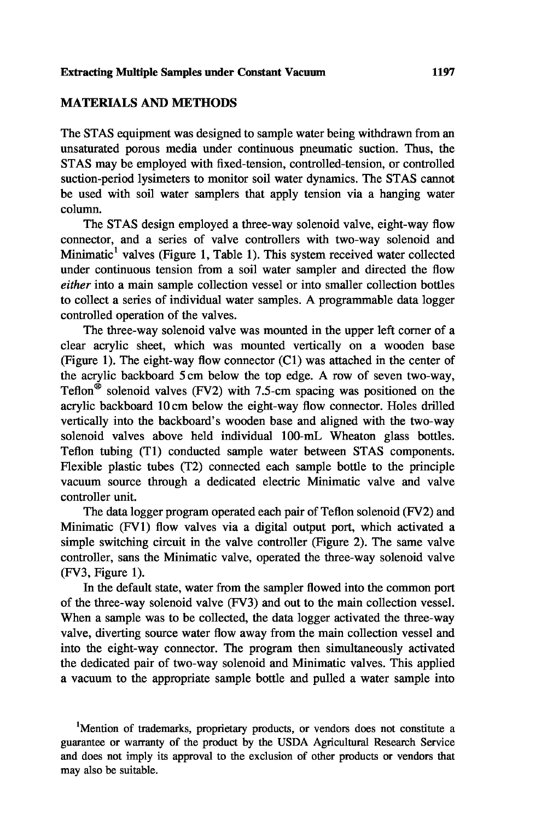## **MATERIALS AND METHODS**

The STAS equipment was designed to sample water being withdrawn from an unsaturated porous media under continuous pneumatic suction. Thus, the STAS may be employed with fixed-tension, controlled-tension, or controlled suction-period lysimeters to monitor soil water dynamics. The STAS cannot be used with soil water samplers that apply tension via a hanging water column.

The STAS design employed a three-way solenoid valve, eight-way flow connector, and a series of valve controllers with two-way solenoid and Minimatic<sup>1</sup> valves (Figure 1, Table 1). This system received water collected under continuous tension from a soil water sampler and directed the flow *either* into a main sample collection vessel or into smaller collection bottles to collect a series of individual water samples. A programmable data logger controlled operation of the valves.

The three-way solenoid valve was mounted in the upper left corner of a clear acrylic sheet, which was mounted vertically on a wooden base (Figure 1). The eight-way flow connector (C1) was attached in the center of the acrylic backboard 5 cm below the top edge. A row of seven two-way, Teflon<sup>®</sup> solenoid valves (FV2) with 7.5-cm spacing was positioned on the acrylic backboard 10 cm below the eight-way flow connector. Holes drilled vertically into the backboard's wooden base and aligned with the two-way solenoid valves above held individual 100-mL Wheaton glass bottles. Teflon tubing (T1) conducted sample water between STAS components. Flexible plastic tubes (T2) connected each sample bottle to the principle vacuum source through a dedicated electric Minimatic valve and valve controller unit.

The data logger program operated each pair of Teflon solenoid (FV2) and Minimatic (FV1) flow valves via a digital output port, which activated a simple switching circuit in the valve controller (Figure 2). The same valve controller, sans the Minimatic valve, operated the three-way solenoid valve (FV3, Figure 1).

In the default state, water from the sampler flowed into the common port of the three-way solenoid valve (FV3) and out to the main collection vessel. When a sample was to be collected, the data logger activated the three-way valve, diverting source water flow away from the main collection vessel and into the eight-way connector. The program then simultaneously activated the dedicated pair of two-way solenoid and Minimatic valves. This applied a vacuum to the appropriate sample bottle and pulled a water sample into

<sup>1</sup>Mention of trademarks, proprietary products, or vendors does not constitute a guarantee or warranty of the product by the USDA Agricultural Research Service and does not imply its approval to the exclusion of other products or vendors that may also be suitable.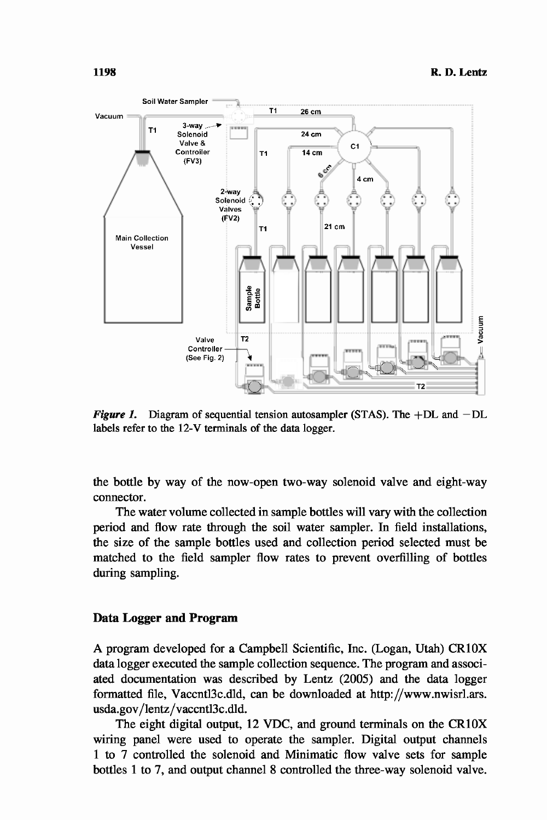

*Figure 1.* Diagram of sequential tension autosampler (STAS). The  $+DL$  and  $-DL$ labels refer to the 12-V terminals of the data logger.

the bottle by way of the now-open two-way solenoid valve and eight-way connector.

The water volume collected in sample bottles will vary with the collection period and flow rate through the soil water sampler. In field installations, the size of the sample bottles used and collection period selected must be matched to the field sampler flow rates to prevent overfilling of bottles during sampling.

#### **Data Logger and Program**

A program developed for a Campbell Scientific, Inc. (Logan, Utah) CR1OX data logger executed the sample collection sequence. The program and associated documentation was described by Lentz (2005) and the data logger formatted file, Vaccntl3c.dld, can be downloaded at http://www.nwisrl.ars. usda.gov/lentz/vaccntl3c.dld.

The eight digital output, 12 VDC, and ground terminals on the CR1OX wiring panel were used to operate the sampler. Digital output channels 1 to 7 controlled the solenoid and Minimatic flow valve sets for sample bottles 1 to 7, and output channel 8 controlled the three-way solenoid valve.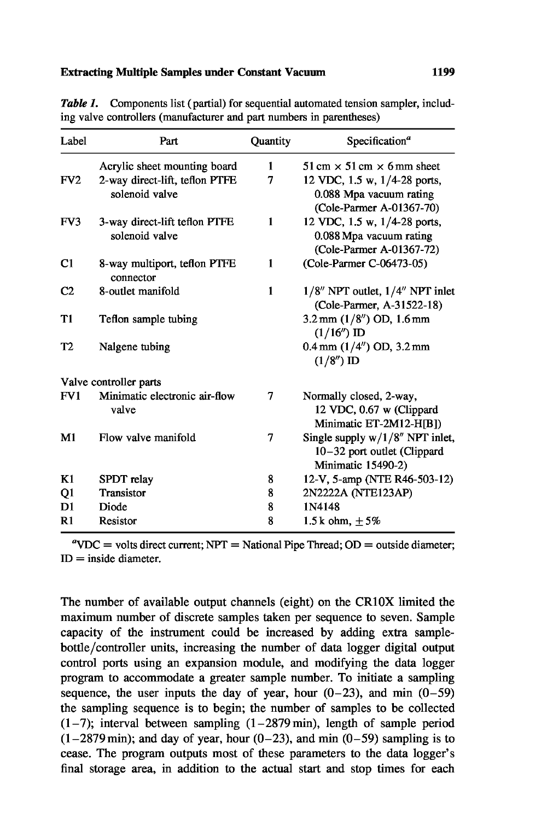#### **Extracting Multiple Samples under Constant Vacuum 1199**

| Label           | Part                                             | Quantity     | Specification <sup>a</sup>                                                              |
|-----------------|--------------------------------------------------|--------------|-----------------------------------------------------------------------------------------|
|                 | Acrylic sheet mounting board                     | 1            | $51 \text{ cm} \times 51 \text{ cm} \times 6 \text{ mm}$ sheet                          |
| FV <sub>2</sub> | 2-way direct-lift, teflon PTFE<br>solenoid valve | 7            | 12 VDC, 1.5 w, 1/4-28 ports,<br>0.088 Mpa vacuum rating<br>(Cole-Parmer A-01367-70)     |
| FV3             | 3-way direct-lift teflon PTFE<br>solenoid valve  | 1            | 12 VDC, 1.5 w, 1/4-28 ports,<br>0.088 Mpa vacuum rating<br>(Cole-Parmer A-01367-72)     |
| C <sub>1</sub>  | 8-way multiport, teflon PTFE<br>connector        | 1            | (Cole-Parmer C-06473-05)                                                                |
| C <sub>2</sub>  | 8-outlet manifold                                | $\mathbf{1}$ | 1/8" NPT outlet, 1/4" NPT inlet<br>(Cole-Parmer, A-31522-18)                            |
| Т1              | Teflon sample tubing                             |              | $3.2 \text{ mm}$ (1/8") OD, 1.6 mm<br>$(1/16'')$ ID                                     |
| T <sub>2</sub>  | Nalgene tubing                                   |              | $0.4$ mm $(1/4'')$ OD, $3.2$ mm<br>$(1/8'')$ ID                                         |
|                 | Valve controller parts                           |              |                                                                                         |
| FV1             | Minimatic electronic air-flow<br>valve           | 7            | Normally closed, 2-way,<br>12 VDC, 0.67 w (Clippard<br>Minimatic ET-2M12-H[B])          |
| M1              | Flow valve manifold                              | 7            | Single supply $w/1/8''$ NPT inlet,<br>10-32 port outlet (Clippard<br>Minimatic 15490-2) |
| K1              | SPDT relay                                       | 8            | 12-V, 5-amp (NTE R46-503-12)                                                            |
| Q1              | <b>Transistor</b>                                | 8            | 2N2222A (NTE123AP)                                                                      |
| D1              | Diode                                            | 8            | 1N4148                                                                                  |
| R <sub>1</sub>  | Resistor                                         | 8            | 1.5 k ohm, $+5%$                                                                        |

*Table 1.* Components list (partial) for sequential automated tension sampler, including valve controllers (manufacturer and part numbers in parentheses)

 ${}^a$ VDC = volts direct current; NPT = National Pipe Thread; OD = outside diameter;  $ID = inside diameter.$ 

The number of available output channels (eight) on the CR1OX limited the maximum number of discrete samples taken per sequence to seven. Sample capacity of the instrument could be increased by adding extra samplebottle/controller units, increasing the number of data logger digital output control ports using an expansion module, and modifying the data logger program to accommodate a greater sample number. To initiate a sampling sequence, the user inputs the day of year, hour  $(0-23)$ , and min  $(0-59)$ the sampling sequence is to begin; the number of samples to be collected  $(1-7)$ ; interval between sampling  $(1-2879 \text{ min})$ , length of sample period  $(1-2879 \text{ min})$ ; and day of year, hour  $(0-23)$ , and min  $(0-59)$  sampling is to cease. The program outputs most of these parameters to the data logger's final storage area, in addition to the actual start and stop times for each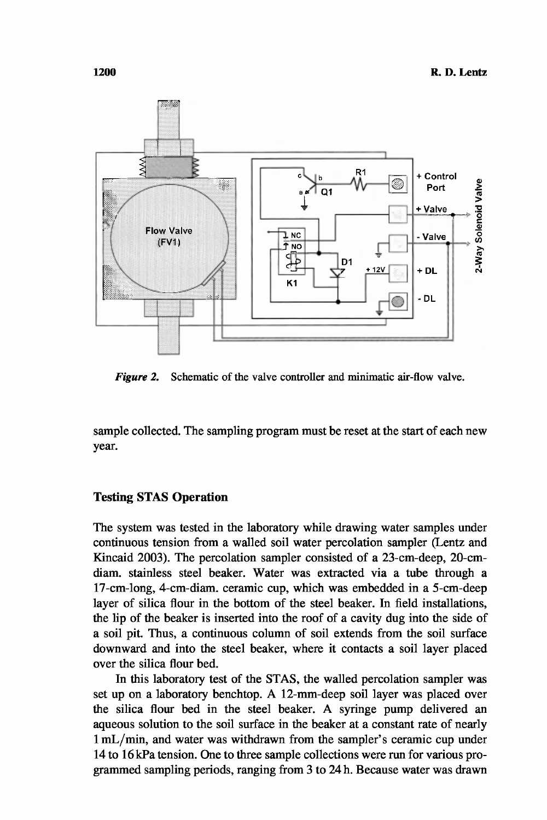

*Figure 2.* Schematic of the valve controller and minimatic air-flow valve.

sample collected. The sampling program must be reset at the start of each new year.

## **Testing STAS Operation**

The system was tested in the laboratory while drawing water samples under continuous tension from a walled soil water percolation sampler (Lentz and Kincaid 2003). The percolation sampler consisted of a 23-cm-deep, 20-cmdiam. stainless steel beaker. Water was extracted via a tube through a 17-cm-long, 4-cm-diam. ceramic cup, which was embedded in a 5-cm-deep layer of silica flour in the bottom of the steel beaker. In field installations, the lip of the beaker is inserted into the roof of a cavity dug into the side of a soil pit. Thus, a continuous column of soil extends from the soil surface downward and into the steel beaker, where it contacts a soil layer placed over the silica flour bed.

In this laboratory test of the STAS, the walled percolation sampler was set up on a laboratory benchtop. A 12-mm-deep soil layer was placed over the silica flour bed in the steel beaker. A syringe pump delivered an aqueous solution to the soil surface in the beaker at a constant rate of nearly 1 mL/min, and water was withdrawn from the sampler's ceramic cup under 14 to 16 kPa tension. One to three sample collections were run for various programmed sampling periods, ranging from 3 to 24 h. Because water was drawn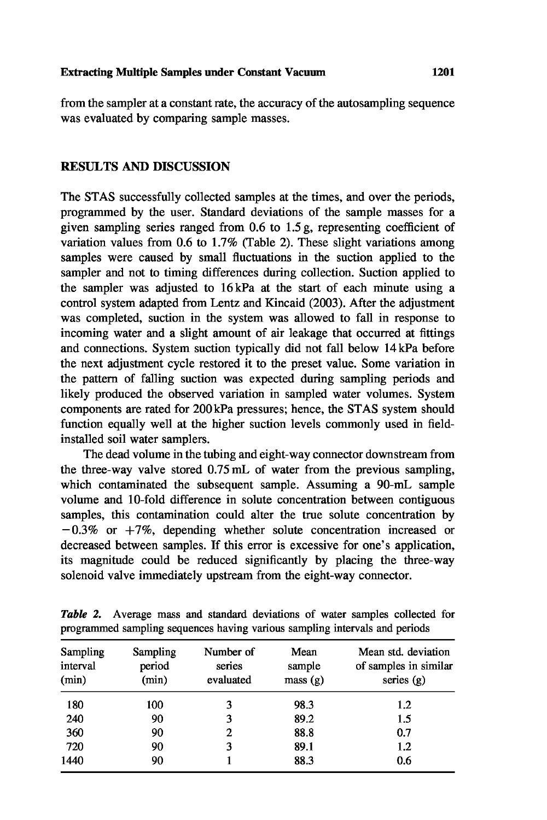from the sampler at a constant rate, the accuracy of the autosampling sequence was evaluated by comparing sample masses.

## **RESULTS AND DISCUSSION**

The STAS successfully collected samples at the times, and over the periods, programmed by the user. Standard deviations of the sample masses for a given sampling series ranged from 0.6 to 1.5 g, representing coefficient of variation values from 0.6 to 1.7% (Table 2). These slight variations among samples were caused by small fluctuations in the suction applied to the sampler and not to timing differences during collection. Suction applied to the sampler was adjusted to 16 kPa at the start of each minute using a control system adapted from Lentz and Kincaid (2003). After the adjustment was completed, suction in the system was allowed to fall in response to incoming water and a slight amount of air leakage that occurred at fittings and connections. System suction typically did not fall below 14 kPa before the next adjustment cycle restored it to the preset value. Some variation in the pattern of falling suction was expected during sampling periods and likely produced the observed variation in sampled water volumes. System components are rated for 200 kPa pressures; hence, the STAS system should function equally well at the higher suction levels commonly used in fieldinstalled soil water samplers.

The dead volume in the tubing and eight-way connector downstream from the three-way valve stored 0.75 mL of water from the previous sampling, which contaminated the subsequent sample. Assuming a 90-mL sample volume and 10-fold difference in solute concentration between contiguous samples, this contamination could alter the true solute concentration by  $-0.3\%$  or  $+7\%$ , depending whether solute concentration increased or decreased between samples. If this error is excessive for one's application, its magnitude could be reduced significantly by placing the three-way solenoid valve immediately upstream from the eight-way connector.

| Sampling<br>interval<br>(min) | Sampling<br>period<br>(min) | Number of<br>series<br>evaluated | Mean<br>sample<br>mass(g) | Mean std. deviation<br>of samples in similar<br>series $(g)$ |
|-------------------------------|-----------------------------|----------------------------------|---------------------------|--------------------------------------------------------------|
| 180                           | 100                         | 3                                | 98.3                      | 1.2                                                          |
| 240                           | 90                          | 3                                | 89.2                      | 1.5                                                          |
| 360                           | 90                          | 2                                | 88.8                      | 0.7                                                          |
| 720                           | 90                          | 3                                | 89.1                      | 1.2                                                          |
| 1440                          | 90                          |                                  | 88.3                      | 0.6                                                          |

*Table 2.* Average mass and standard deviations of water samples collected for programmed sampling sequences having various sampling intervals and periods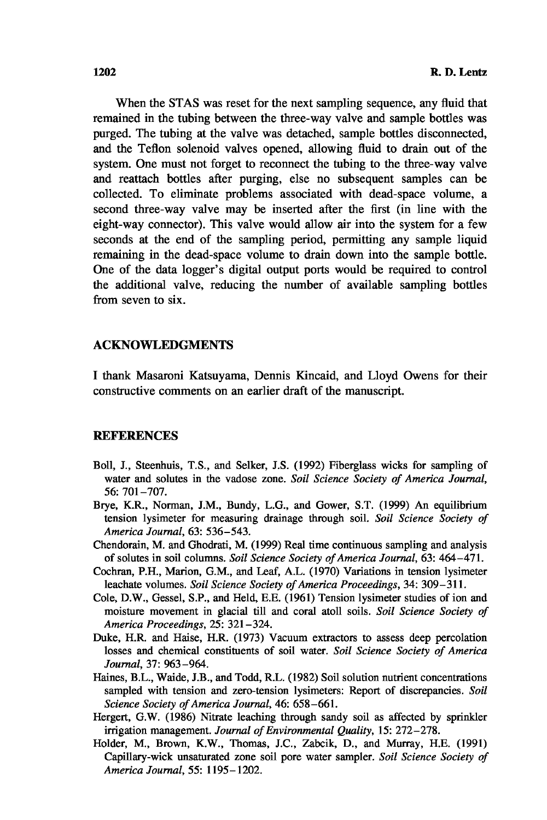When the STAS was reset for the next sampling sequence, any fluid that remained in the tubing between the three-way valve and sample bottles was purged. The tubing at the valve was detached, sample bottles disconnected, and the Teflon solenoid valves opened, allowing fluid to drain out of the system. One must not forget to reconnect the tubing to the three-way valve and reattach bottles after purging, else no subsequent samples can be collected. To eliminate problems associated with dead-space volume, a second three-way valve may be inserted after the first (in line with the eight-way connector). This valve would allow air into the system for a few seconds at the end of the sampling period, permitting any sample liquid remaining in the dead-space volume to drain down into the sample bottle. One of the data logger's digital output ports would be required to control the additional valve, reducing the number of available sampling bottles from seven to six.

#### **ACKNOWLEDGMENTS**

I thank Masaroni Katsuyama, Dennis Kincaid, and Lloyd Owens for their constructive comments on an earlier draft of the manuscript.

## **REFERENCES**

- Boll, J., Steenhuis, T.S., and Selker, J.S. (1992) Fiberglass wicks for sampling of water and solutes in the vadose zone. *Soil Science Society of America Journal,* 56: 701-707.
- Brye, K.R., Norman, J.M., Bundy, L.G., and Gower, S.T. (1999) An equilibrium tension lysimeter for measuring drainage through soil. *Soil Science Society of America Journal,* 63: 536-543.
- Chendorain, M. and Ghodrati, M. (1999) Real time continuous sampling and analysis of solutes in soil columns. *Soil Science Society of America Journal,* 63: 464-471.
- Cochran, P.H., Marion, G.M., and Leaf, A.L. (1970) Variations in tension lysimeter leachate volumes. *Soil Science Society of America Proceedings,* 34: 309-311.
- Cole, D.W., Gessel, S.P., and Held, E.E. (1961) Tension lysimeter studies of ion and moisture movement in glacial till and coral atoll soils. *Soil Science Society of America Proceedings,* 25: 321-324.
- Duke, H.R. and Haise, H.R. (1973) Vacuum extractors to assess deep percolation losses and chemical constituents of soil water. *Soil Science Society of America Journal,* 37: 963-964.
- Haines, B.L., Waide, J.B., and Todd, R.L. (1982) Soil solution nutrient concentrations sampled with tension and zero-tension lysimeters: Report of discrepancies. *Soil Science Society of America Journal,* 46: 658-661.
- Hergert, G.W. (1986) Nitrate leaching through sandy soil as affected by sprinkler irrigation management. *Journal of Environmental Quality,* 15: 272-278.
- Holder, M., Brown, K.W., Thomas, J.C., Zabcik, D., and Murray, H.E. (1991) Capillary-wick unsaturated zone soil pore water sampler. *Soil Science Society of America Journal, 55:* 1195-1202.